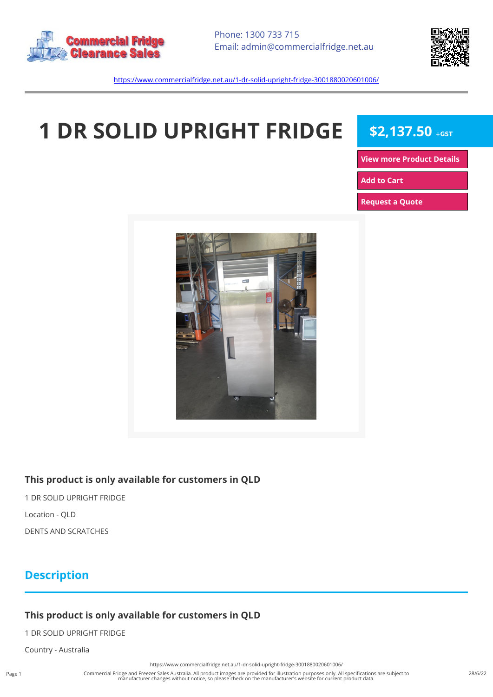



<https://www.commercialfridge.net.au/1-dr-solid-upright-fridge-3001880020601006/>

# **1 DR SOLID UPRIGHT FRIDGE \$2,137.50 +GST**

**[View more Product Details](https://www.commercialfridge.net.au/1-dr-solid-upright-fridge-3001880020601006/)**

**[Add to Cart](https://www.commercialfridge.net.au/1-dr-solid-upright-fridge-3001880020601006/?addtocart=1)** 

**[Request a Quote](https://www.commercialfridge.net.au/1-dr-solid-upright-fridge-3001880020601006/?requestaquote=1)** 



#### **This product is only available for customers in QLD**

1 DR SOLID UPRIGHT FRIDGE Location - QLD DENTS AND SCRATCHES

### **Description**

#### **This product is only available for customers in QLD**

1 DR SOLID UPRIGHT FRIDGE

Country - Australia

<https://www.commercialfridge.net.au/1-dr-solid-upright-fridge-3001880020601006/>

Commercial Fridge and Freezer Sales Australia. All product images are provided for illustration purposes only. All specifications are subject to manufacturer changes without notice, so please check on the manufacturer's website for current product data.